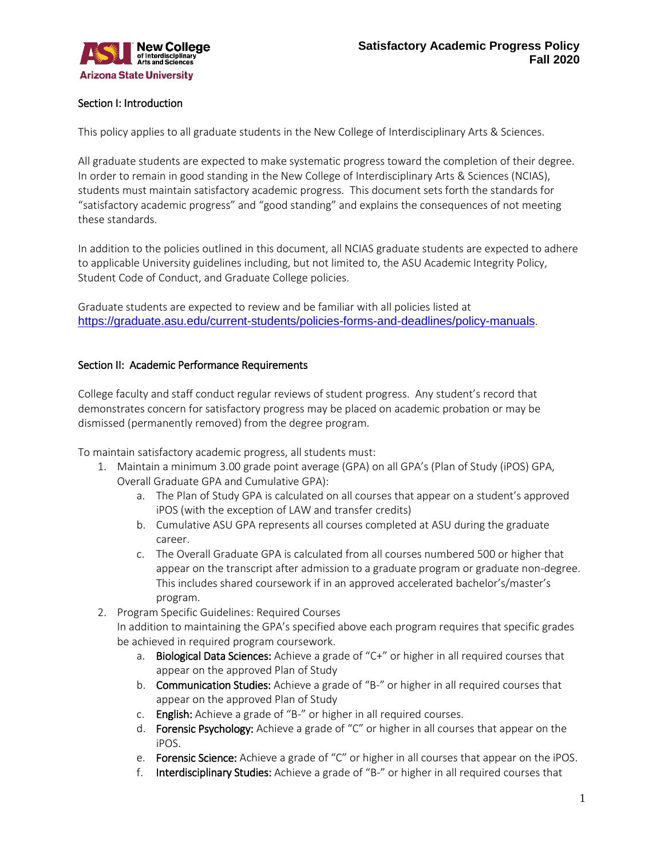

## Section I: Introduction

This policy applies to all graduate students in the New College of Interdisciplinary Arts & Sciences.

All graduate students are expected to make systematic progress toward the completion of their degree. In order to remain in good standing in the New College of Interdisciplinary Arts & Sciences (NCIAS), students must maintain satisfactory academic progress. This document sets forth the standards for "satisfactory academic progress" and "good standing" and explains the consequences of not meeting these standards.

In addition to the policies outlined in this document, all NCIAS graduate students are expected to adhere to applicable University guidelines including, but not limited to, the ASU Academic Integrity Policy, Student Code of Conduct, and Graduate College policies.

Graduate students are expected to review and be familiar with all policies listed at <https://graduate.asu.edu/current-students/policies-forms-and-deadlines/policy-manuals>.

#### Section II: Academic Performance Requirements

College faculty and staff conduct regular reviews of student progress. Any student's record that demonstrates concern for satisfactory progress may be placed on academic probation or may be dismissed (permanently removed) from the degree program.

To maintain satisfactory academic progress, all students must:

- 1. Maintain a minimum 3.00 grade point average (GPA) on all GPA's (Plan of Study (iPOS) GPA, Overall Graduate GPA and Cumulative GPA):
	- a. The Plan of Study GPA is calculated on all courses that appear on a student's approved iPOS (with the exception of LAW and transfer credits)
	- b. Cumulative ASU GPA represents all courses completed at ASU during the graduate career.
	- c. The Overall Graduate GPA is calculated from all courses numbered 500 or higher that appear on the transcript after admission to a graduate program or graduate non-degree. This includes shared coursework if in an approved accelerated bachelor's/master's program.
- 2. Program Specific Guidelines: Required Courses In addition to maintaining the GPA's specified above each program requires that specific grades be achieved in required program coursework.
	- a. Biological Data Sciences: Achieve a grade of "C+" or higher in all required courses that appear on the approved Plan of Study
	- b. Communication Studies: Achieve a grade of "B-" or higher in all required courses that appear on the approved Plan of Study
	- c. English: Achieve a grade of "B-" or higher in all required courses.
	- d. Forensic Psychology: Achieve a grade of "C" or higher in all courses that appear on the iPOS.
	- e. Forensic Science: Achieve a grade of "C" or higher in all courses that appear on the iPOS.
	- f. Interdisciplinary Studies: Achieve a grade of "B-" or higher in all required courses that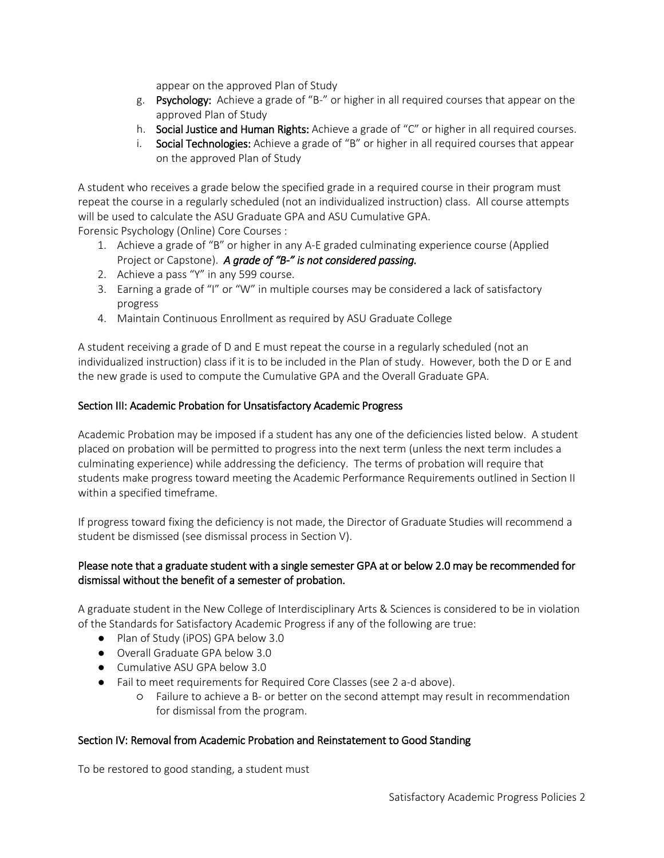appear on the approved Plan of Study

- g. Psychology: Achieve a grade of "B-" or higher in all required courses that appear on the approved Plan of Study
- h. Social Justice and Human Rights: Achieve a grade of "C" or higher in all required courses.
- i. Social Technologies: Achieve a grade of "B" or higher in all required courses that appear on the approved Plan of Study

A student who receives a grade below the specified grade in a required course in their program must repeat the course in a regularly scheduled (not an individualized instruction) class. All course attempts will be used to calculate the ASU Graduate GPA and ASU Cumulative GPA. Forensic Psychology (Online) Core Courses :

- 1. Achieve a grade of "B" or higher in any A-E graded culminating experience course (Applied Project or Capstone). *A grade of "B-" is not considered passing.*
- 2. Achieve a pass "Y" in any 599 course.
- 3. Earning a grade of "I" or "W" in multiple courses may be considered a lack of satisfactory progress
- 4. Maintain Continuous Enrollment as required by ASU Graduate College

A student receiving a grade of D and E must repeat the course in a regularly scheduled (not an individualized instruction) class if it is to be included in the Plan of study. However, both the D or E and the new grade is used to compute the Cumulative GPA and the Overall Graduate GPA.

# Section III: Academic Probation for Unsatisfactory Academic Progress

Academic Probation may be imposed if a student has any one of the deficiencies listed below. A student placed on probation will be permitted to progress into the next term (unless the next term includes a culminating experience) while addressing the deficiency. The terms of probation will require that students make progress toward meeting the Academic Performance Requirements outlined in Section II within a specified timeframe.

If progress toward fixing the deficiency is not made, the Director of Graduate Studies will recommend a student be dismissed (see dismissal process in Section V).

## Please note that a graduate student with a single semester GPA at or below 2.0 may be recommended for dismissal without the benefit of a semester of probation.

A graduate student in the New College of Interdisciplinary Arts & Sciences is considered to be in violation of the Standards for Satisfactory Academic Progress if any of the following are true:

- Plan of Study (iPOS) GPA below 3.0
- Overall Graduate GPA below 3.0
- Cumulative ASU GPA below 3.0
- Fail to meet requirements for Required Core Classes (see 2 a-d above).
	- Failure to achieve a B- or better on the second attempt may result in recommendation for dismissal from the program.

## Section IV: Removal from Academic Probation and Reinstatement to Good Standing

To be restored to good standing, a student must